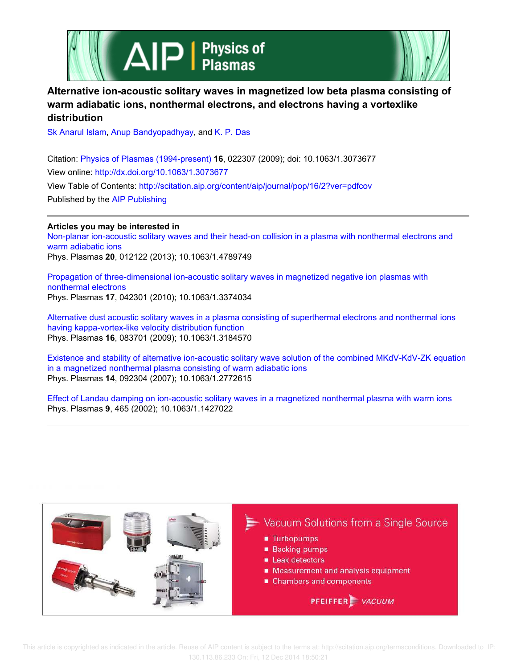



# **Alternative ion-acoustic solitary waves in magnetized low beta plasma consisting of warm adiabatic ions, nonthermal electrons, and electrons having a vortexlike distribution**

Sk Anarul Islam, Anup Bandyopadhyay, and K. P. Das

Citation: Physics of Plasmas (1994-present) **16**, 022307 (2009); doi: 10.1063/1.3073677 View online: http://dx.doi.org/10.1063/1.3073677 View Table of Contents: http://scitation.aip.org/content/aip/journal/pop/16/2?ver=pdfcov Published by the AIP Publishing

## **Articles you may be interested in**

Non-planar ion-acoustic solitary waves and their head-on collision in a plasma with nonthermal electrons and warm adiabatic ions Phys. Plasmas **20**, 012122 (2013); 10.1063/1.4789749

Propagation of three-dimensional ion-acoustic solitary waves in magnetized negative ion plasmas with nonthermal electrons Phys. Plasmas **17**, 042301 (2010); 10.1063/1.3374034

Alternative dust acoustic solitary waves in a plasma consisting of superthermal electrons and nonthermal ions having kappa-vortex-like velocity distribution function Phys. Plasmas **16**, 083701 (2009); 10.1063/1.3184570

Existence and stability of alternative ion-acoustic solitary wave solution of the combined MKdV-KdV-ZK equation in a magnetized nonthermal plasma consisting of warm adiabatic ions Phys. Plasmas **14**, 092304 (2007); 10.1063/1.2772615

Effect of Landau damping on ion-acoustic solitary waves in a magnetized nonthermal plasma with warm ions Phys. Plasmas **9**, 465 (2002); 10.1063/1.1427022

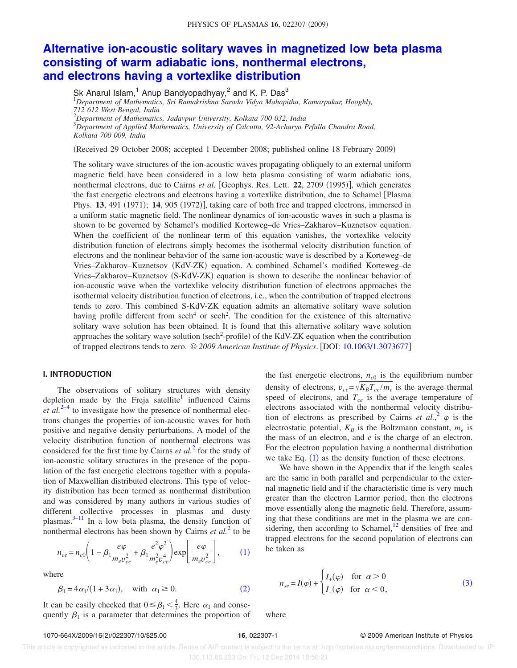## **Alternative ion-acoustic solitary waves in magnetized low beta plasma consisting of warm adiabatic ions, nonthermal electrons, and electrons having a vortexlike distribution**

Sk Anarul Islam,<sup>1</sup> Anup Bandyopadhyay,<sup>2</sup> and K. P. Das<sup>3</sup> <sup>1</sup>*Department of Mathematics, Sri Ramakrishna Sarada Vidya Mahapitha, Kamarpukur, Hooghly, 712 612 West Bengal, India* <sup>2</sup>*Department of Mathematics, Jadavpur University, Kolkata 700 032, India* <sup>3</sup>*Department of Applied Mathematics, University of Calcutta, 92-Acharya Prfulla Chandra Road, Kolkata 700 009, India*

Received 29 October 2008; accepted 1 December 2008; published online 18 February 2009-

The solitary wave structures of the ion-acoustic waves propagating obliquely to an external uniform magnetic field have been considered in a low beta plasma consisting of warm adiabatic ions, nonthermal electrons, due to Cairns et al. [Geophys. Res. Lett. 22, 2709 (1995)], which generates the fast energetic electrons and electrons having a vortexlike distribution, due to Schamel Plasma Phys. 13, 491 (1971); 14, 905 (1972)], taking care of both free and trapped electrons, immersed in a uniform static magnetic field. The nonlinear dynamics of ion-acoustic waves in such a plasma is shown to be governed by Schamel's modified Korteweg–de Vries–Zakharov–Kuznetsov equation. When the coefficient of the nonlinear term of this equation vanishes, the vortexlike velocity distribution function of electrons simply becomes the isothermal velocity distribution function of electrons and the nonlinear behavior of the same ion-acoustic wave is described by a Korteweg–de Vries–Zakharov–Kuznetsov (KdV-ZK) equation. A combined Schamel's modified Korteweg–de Vries–Zakharov–Kuznetsov (S-KdV-ZK) equation is shown to describe the nonlinear behavior of ion-acoustic wave when the vortexlike velocity distribution function of electrons approaches the isothermal velocity distribution function of electrons, i.e., when the contribution of trapped electrons tends to zero. This combined S-KdV-ZK equation admits an alternative solitary wave solution having profile different from  $sech<sup>4</sup>$  or  $sech<sup>2</sup>$ . The condition for the existence of this alternative solitary wave solution has been obtained. It is found that this alternative solitary wave solution approaches the solitary wave solution (sech<sup>2</sup>-profile) of the KdV-ZK equation when the contribution of trapped electrons tends to zero. © *2009 American Institute of Physics*. DOI: 10.1063/1.3073677

## **I. INTRODUCTION**

The observations of solitary structures with density depletion made by the Freja satellite<sup>1</sup> influenced Cairns  $et$   $al.^{2-4}$  to investigate how the presence of nonthermal electrons changes the properties of ion-acoustic waves for both positive and negative density perturbations. A model of the velocity distribution function of nonthermal electrons was considered for the first time by Cairns *et al.*<sup>2</sup> for the study of ion-acoustic solitary structures in the presence of the population of the fast energetic electrons together with a population of Maxwellian distributed electrons. This type of velocity distribution has been termed as nonthermal distribution and was considered by many authors in various studies of different collective processes in plasmas and dusty plasmas. $3-11$  In a low beta plasma, the density function of nonthermal electrons has been shown by Cairns *et al.*<sup>2</sup> to be

$$
n_{ce} = n_{c0} \left( 1 - \beta_1 \frac{e\varphi}{m_e v_{ce}^2} + \beta_1 \frac{e^2 \varphi^2}{m_e^2 v_{ce}^4} \right) \exp \left[ \frac{e\varphi}{m_e v_{ce}^2} \right],
$$
 (1)

where

$$
\beta_1 = 4\alpha_1/(1+3\alpha_1), \quad \text{with } \alpha_1 \ge 0. \tag{2}
$$

It can be easily checked that  $0 \leq \beta_1 < \frac{4}{3}$ . Here  $\alpha_1$  and consequently  $\beta_1$  is a parameter that determines the proportion of

the fast energetic electrons,  $n_{c0}$  is the equilibrium number density of electrons,  $v_{ce} = \sqrt{K_B T_{ce} / m_e}$  is the average thermal speed of electrons, and *Tce* is the average temperature of electrons associated with the nonthermal velocity distribution of electrons as prescribed by Cairns *et al.*,  $\varphi$  is the electrostatic potential,  $K_B$  is the Boltzmann constant,  $m_e$  is the mass of an electron, and *e* is the charge of an electron. For the electron population having a nonthermal distribution we take Eq.  $(1)$  as the density function of these electrons.

We have shown in the Appendix that if the length scales are the same in both parallel and perpendicular to the external magnetic field and if the characteristic time is very much greater than the electron Larmor period, then the electrons move essentially along the magnetic field. Therefore, assuming that these conditions are met in the plasma we are considering, then according to Schamel, $^{12}$  densities of free and trapped electrons for the second population of electrons can be taken as

$$
n_{se} = I(\varphi) + \begin{cases} I_{+}(\varphi) & \text{for } \alpha > 0 \\ I_{-}(\varphi) & \text{for } \alpha < 0, \end{cases}
$$
 (3)

/022307/10/\$25.00 **16**, 022307-1 © 2009 American Institute of Physics

where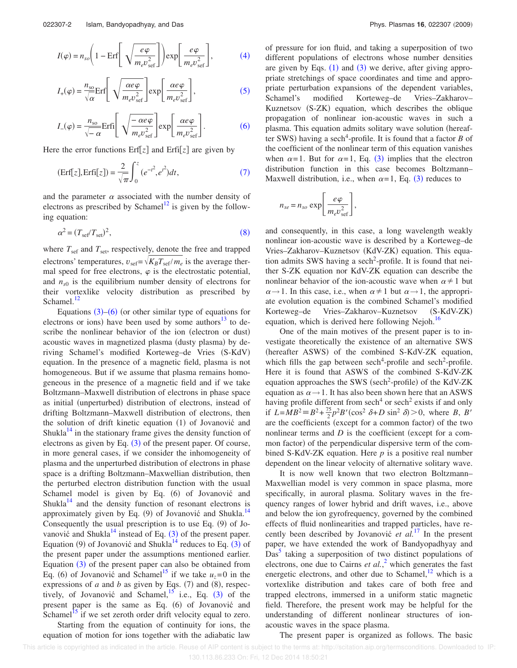$$
I(\varphi) = n_{so} \left( 1 - \text{Erf} \left[ \sqrt{\frac{e\varphi}{m_e v_{\text{sef}}^2}} \right] \right) \exp \left[ \frac{e\varphi}{m_e v_{\text{sef}}^2} \right],\tag{4}
$$

$$
I_{+}(\varphi) = \frac{n_{\rm so}}{\sqrt{\alpha}} \text{Erf} \left[ \sqrt{\frac{\alpha e \varphi}{m_{e} v_{\rm sef}^{2}}} \right] \exp \left[ \frac{\alpha e \varphi}{m_{e} v_{\rm sef}^{2}} \right],
$$
 (5)

$$
I_{-}(\varphi) = \frac{n_{\rm so}}{\sqrt{-\alpha}} \text{Erfi} \left[ \sqrt{\frac{-\alpha e \varphi}{m_{e} v_{\rm sef}^{2}}} \right] \exp \left[ \frac{\alpha e \varphi}{m_{e} v_{\rm sef}^{2}} \right].
$$
 (6)

Here the error functions  $Erf[z]$  and  $Erf[z]$  are given by

$$
(\text{Erf}[z], \text{Erfi}[z]) = \frac{2}{\sqrt{\pi}} \int_0^z (e^{-t^2}, e^{t^2}) dt,\tag{7}
$$

and the parameter  $\alpha$  associated with the number density of electrons as prescribed by Schamel<sup>12</sup> is given by the following equation:

$$
\alpha^2 = (T_{\rm sef}/T_{\rm set})^2,\tag{8}
$$

where  $T_{\text{sef}}$  and  $T_{\text{set}}$ , respectively, denote the free and trapped electrons' temperatures,  $v_{\text{sef}} = \sqrt{K_B T_{\text{sef}}/m_e}$  is the average thermal speed for free electrons,  $\varphi$  is the electrostatic potential, and  $n_{s0}$  is the equilibrium number density of electrons for their vortexlike velocity distribution as prescribed by Schamel.<sup>12</sup>

Equations  $(3)$ – $(6)$  (or other similar type of equations for electrons or ions) have been used by some authors $^{13}$  to describe the nonlinear behavior of the ion (electron or dust) acoustic waves in magnetized plasma (dusty plasma) by deriving Schamel's modified Korteweg–de Vries (S-KdV) equation. In the presence of a magnetic field, plasma is not homogeneous. But if we assume that plasma remains homogeneous in the presence of a magnetic field and if we take Boltzmann–Maxwell distribution of electrons in phase space as initial (unperturbed) distribution of electrons, instead of drifting Boltzmann–Maxwell distribution of electrons, then the solution of drift kinetic equation (1) of Jovanović and Shukla $14$  in the stationary frame gives the density function of electrons as given by Eq.  $(3)$  of the present paper. Of course, in more general cases, if we consider the inhomogeneity of plasma and the unperturbed distribution of electrons in phase space is a drifting Boltzmann–Maxwellian distribution, then the perturbed electron distribution function with the usual Schamel model is given by Eq. (6) of Jovanović and Shukla $14$  and the density function of resonant electrons is approximately given by Eq. (9) of Jovanović and Shukla.<sup>14</sup> Consequently the usual prescription is to use Eq.  $(9)$  of Jovanović and Shukla<sup>14</sup> instead of Eq.  $(3)$  of the present paper. Equation (9) of Jovanović and Shukla<sup>14</sup> reduces to Eq.  $(3)$  of the present paper under the assumptions mentioned earlier. Equation  $(3)$  of the present paper can also be obtained from Eq. (6) of Jovanović and Schamel<sup>15</sup> if we take  $u_z = 0$  in the expressions of *a* and *b* as given by Eqs.  $(7)$  and  $(8)$ , respectively, of Jovanović and Schamel,  $^{15}$  i.e., Eq. (3) of the present paper is the same as Eq. (6) of Jovanović and Schamel<sup>15</sup> if we set zeroth order drift velocity equal to zero.

Starting from the equation of continuity for ions, the equation of motion for ions together with the adiabatic law

of pressure for ion fluid, and taking a superposition of two different populations of electrons whose number densities are given by Eqs.  $(1)$  and  $(3)$  we derive, after giving appropriate stretchings of space coordinates and time and appropriate perturbation expansions of the dependent variables, Schamel's modified Korteweg–de Vries–Zakharov– Kuznetsov (S-ZK) equation, which describes the oblique propagation of nonlinear ion-acoustic waves in such a plasma. This equation admits solitary wave solution hereafter SWS) having a sech<sup>4</sup>-profile. It is found that a factor *B* of the coefficient of the nonlinear term of this equation vanishes when  $\alpha = 1$ . But for  $\alpha = 1$ , Eq. (3) implies that the electron distribution function in this case becomes Boltzmann– Maxwell distribution, i.e., when  $\alpha=1$ , Eq. (3) reduces to

$$
n_{se} = n_{so} \exp\left[\frac{e\varphi}{m_e v_{\text{sef}}^2}\right],
$$

and consequently, in this case, a long wavelength weakly nonlinear ion-acoustic wave is described by a Korteweg–de Vries-Zakharov-Kuznetsov (KdV-ZK) equation. This equation admits SWS having a sech<sup>2</sup>-profile. It is found that neither S-ZK equation nor KdV-ZK equation can describe the nonlinear behavior of the ion-acoustic wave when  $\alpha \neq 1$  but  $\alpha \rightarrow 1$ . In this case, i.e., when  $\alpha \neq 1$  but  $\alpha \rightarrow 1$ , the appropriate evolution equation is the combined Schamel's modified Korteweg–de Vries–Zakharov–Kuznetsov  $(S-KdV-ZK)$ equation, which is derived here following Nejoh.<sup>16</sup>

One of the main motives of the present paper is to investigate theoretically the existence of an alternative SWS (hereafter ASWS) of the combined S-KdV-ZK equation, which fills the gap between sech<sup>4</sup>-profile and sech<sup>2</sup>-profile. Here it is found that ASWS of the combined S-KdV-ZK equation approaches the SWS (sech<sup>2</sup>-profile) of the KdV-ZK equation as  $\alpha \rightarrow 1$ . It has also been shown here that an ASWS having profile different from sech<sup>4</sup> or sech<sup>2</sup> exists if and only if  $L = MB^2 = B^2 + \frac{75}{2}p^2B'(\cos^2 \delta + D \sin^2 \delta) > 0$ , where *B*, *B'* are the coefficients (except for a common factor) of the two nonlinear terms and  $D$  is the coefficient (except for a common factor) of the perpendicular dispersive term of the combined S-KdV-ZK equation. Here *p* is a positive real number dependent on the linear velocity of alternative solitary wave.

It is now well known that two electron Boltzmann– Maxwellian model is very common in space plasma, more specifically, in auroral plasma. Solitary waves in the frequency ranges of lower hybrid and drift waves, i.e., above and below the ion gyrofrequency, governed by the combined effects of fluid nonlinearities and trapped particles, have recently been described by Jovanović *et al.*<sup>17</sup> In the present paper, we have extended the work of Bandyopadhyay and  $\overline{\mathrm{Das}}^5$  taking a superposition of two distinct populations of electrons, one due to Cairns *et al.*, <sup>2</sup> which generates the fast energetic electrons, and other due to Schamel, $^{12}$  which is a vortexlike distribution and takes care of both free and trapped electrons, immersed in a uniform static magnetic field. Therefore, the present work may be helpful for the understanding of different nonlinear structures of ionacoustic waves in the space plasma.

The present paper is organized as follows. The basic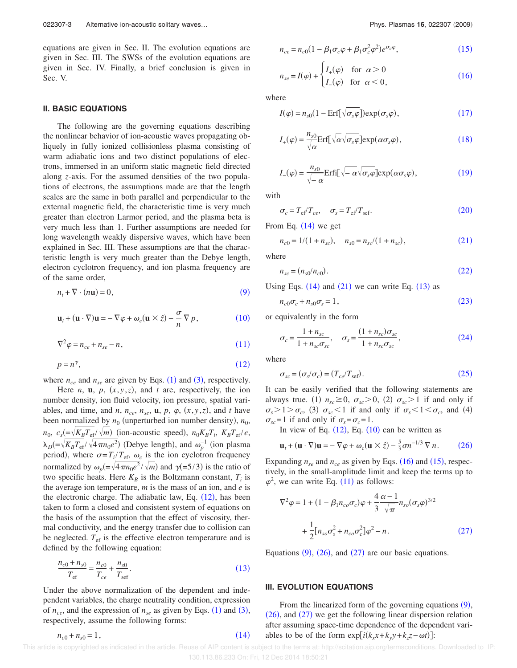equations are given in Sec. II. The evolution equations are given in Sec. III. The SWSs of the evolution equations are given in Sec. IV. Finally, a brief conclusion is given in Sec. V.

#### **II. BASIC EQUATIONS**

The following are the governing equations describing the nonlinear behavior of ion-acoustic waves propagating obliquely in fully ionized collisionless plasma consisting of warm adiabatic ions and two distinct populations of electrons, immersed in an uniform static magnetic field directed along *z*-axis. For the assumed densities of the two populations of electrons, the assumptions made are that the length scales are the same in both parallel and perpendicular to the external magnetic field, the characteristic time is very much greater than electron Larmor period, and the plasma beta is very much less than 1. Further assumptions are needed for long wavelength weakly dispersive waves, which have been explained in Sec. III. These assumptions are that the characteristic length is very much greater than the Debye length, electron cyclotron frequency, and ion plasma frequency are of the same order,

$$
n_t + \nabla \cdot (n\mathbf{u}) = 0,\t\t(9)
$$

$$
\mathbf{u}_t + (\mathbf{u} \cdot \nabla) \mathbf{u} = -\nabla \varphi + \omega_c (\mathbf{u} \times \hat{z}) - \frac{\sigma}{n} \nabla p, \qquad (10)
$$

$$
\nabla^2 \varphi = n_{ce} + n_{se} - n,\tag{11}
$$

$$
p = n^{\gamma},\tag{12}
$$

where  $n_{ce}$  and  $n_{se}$  are given by Eqs. (1) and (3), respectively.

Here *n*, **u**, *p*,  $(x, y, z)$ , and *t* are, respectively, the ion number density, ion fluid velocity, ion pressure, spatial variables, and time, and *n*,  $n_{ce}$ ,  $n_{se}$ , **u**,  $p$ ,  $\varphi$ ,  $(x, y, z)$ , and *t* have been normalized by  $n_0$  (unperturbed ion number density),  $n_0$ ,  $n_0$ ,  $c_s = \sqrt{K_B T_{\text{ef}}}/\sqrt{m}$  (ion-acoustic speed),  $n_0 K_B T_i$ ,  $K_B T_{\text{ef}}/e$ ,  $\lambda_D$ (= $\sqrt{K_B T_{\text{ef}}}/\sqrt{4 \pi n_0 e^2}$ ) (Debye length), and  $\omega_p^{-1}$  (ion plasma period), where  $\sigma = T_i / T_{\text{ef}}$ ,  $\omega_c$  is the ion cyclotron frequency normalized by  $\omega_p = \sqrt{4\pi n_0 e^2}/\sqrt{m}$  and  $\gamma (=5/3)$  is the ratio of two specific heats. Here  $K_B$  is the Boltzmann constant,  $T_i$  is the average ion temperature, *m* is the mass of an ion, and *e* is the electronic charge. The adiabatic law, Eq.  $(12)$ , has been taken to form a closed and consistent system of equations on the basis of the assumption that the effect of viscosity, thermal conductivity, and the energy transfer due to collision can be neglected.  $T_{\text{ef}}$  is the effective electron temperature and is defined by the following equation:

$$
\frac{n_{c0} + n_{s0}}{T_{\text{ef}}} = \frac{n_{c0}}{T_{ce}} + \frac{n_{s0}}{T_{\text{sef}}}.
$$
\n(13)

Under the above normalization of the dependent and independent variables, the charge neutrality condition, expression of  $n_{ce}$ , and the expression of  $n_{se}$  as given by Eqs. (1) and (3), respectively, assume the following forms:

$$
n_{ce} = n_{c0}(1 - \beta_1 \sigma_c \varphi + \beta_1 \sigma_c^2 \varphi^2) e^{\sigma_c \varphi}, \qquad (15)
$$

$$
n_{se} = I(\varphi) + \begin{cases} I_{+}(\varphi) & \text{for } \alpha > 0\\ I_{-}(\varphi) & \text{for } \alpha < 0, \end{cases}
$$
 (16)

where

$$
I(\varphi) = n_{s0}(1 - \text{Erf}[\sqrt{\sigma_s \varphi}]) \exp(\sigma_s \varphi), \qquad (17)
$$

$$
I_{+}(\varphi) = \frac{n_{s0}}{\sqrt{\alpha}} \text{Erf} \left[ \sqrt{\alpha} \sqrt{\sigma_{s} \varphi} \right] \text{exp}(\alpha \sigma_{s} \varphi), \qquad (18)
$$

$$
I_{-}(\varphi) = \frac{n_{s0}}{\sqrt{-\alpha}} \text{Erfi}[\sqrt{-\alpha} \sqrt{\sigma_{s}\varphi}] \exp(\alpha \sigma_{s}\varphi), \qquad (19)
$$

with

$$
\sigma_c = T_{\text{ef}} / T_{ce}, \quad \sigma_s = T_{\text{ef}} / T_{\text{sef}}.
$$
\n(20)

From Eq.  $(14)$  we get

$$
n_{c0} = 1/(1 + n_{sc}), \quad n_{s0} = n_{sc}/(1 + n_{sc}), \tag{21}
$$

where

$$
n_{sc} = (n_{s0}/n_{c0}).
$$
\n(22)

Using Eqs.  $(14)$  and  $(21)$  we can write Eq.  $(13)$  as

 $n_{c0}\sigma_c + n_{s0}\sigma_s = 1$ ,  $(23)$ 

or equivalently in the form

$$
\sigma_c = \frac{1 + n_{sc}}{1 + n_{sc}\sigma_{sc}}, \quad \sigma_s = \frac{(1 + n_{sc})\sigma_{sc}}{1 + n_{sc}\sigma_{sc}},
$$
\n(24)

where

$$
\sigma_{sc} = (\sigma_s/\sigma_c) = (T_{ce}/T_{\text{sef}}). \tag{25}
$$

It can be easily verified that the following statements are always true. (1)  $n_{sc} \ge 0$ ,  $\sigma_{sc} > 0$ , (2)  $\sigma_{sc} > 1$  if and only if  $\sigma_s > 1 > \sigma_c$ , (3)  $\sigma_{sc} < 1$  if and only if  $\sigma_s < 1 < \sigma_c$ , and (4)  $\sigma_{sc}$ =1 if and only if  $\sigma_{s} = \sigma_{c} = 1$ .

In view of Eq.  $(12)$ , Eq.  $(10)$  can be written as

$$
\mathbf{u}_t + (\mathbf{u} \cdot \nabla) \mathbf{u} = -\nabla \varphi + \omega_c (\mathbf{u} \times \hat{z}) - \frac{5}{3} \sigma n^{-1/3} \nabla n. \tag{26}
$$

Expanding  $n_{se}$  and  $n_{ce}$  as given by Eqs. (16) and (15), respectively, in the small-amplitude limit and keep the terms up to  $\varphi^2$ , we can write Eq. (11) as follows:

$$
\nabla^2 \varphi = 1 + (1 - \beta_1 n_{co} \sigma_c) \varphi + \frac{4}{3} \frac{\alpha - 1}{\sqrt{\pi}} n_{so} (\sigma_s \varphi)^{3/2} + \frac{1}{2} [n_{so} \sigma_s^2 + n_{co} \sigma_c^2] \varphi^2 - n.
$$
 (27)

Equations  $(9)$ ,  $(26)$ , and  $(27)$  are our basic equations.

## **III. EVOLUTION EQUATIONS**

From the linearized form of the governing equations  $(9)$ ,  $(26)$ , and  $(27)$  we get the following linear dispersion relation after assuming space-time dependence of the dependent variables to be of the form  $\exp[i(k_x x + k_y y + k_z z - \omega t)]$ :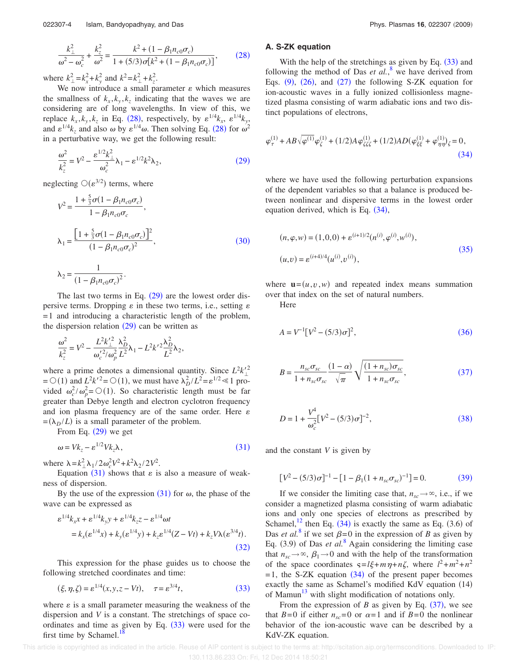$$
\frac{k_{\perp}^2}{\omega^2 - \omega_c^2} + \frac{k_z^2}{\omega^2} = \frac{k^2 + (1 - \beta_1 n_{c0} \sigma_c)}{1 + (5/3) \sigma [k^2 + (1 - \beta_1 n_{c0} \sigma_c)]},
$$
(28)

where  $k_{\perp}^2 = k_x^2 + k_y^2$  and  $k^2 = k_{\perp}^2 + k_z^2$ .

We now introduce a small parameter  $\varepsilon$  which measures the smallness of  $k_x, k_y, k_z$  indicating that the waves we are considering are of long wavelengths. In view of this, we replace  $k_x, k_y, k_z$  in Eq. (28), respectively, by  $\varepsilon^{1/4} k_x$ ,  $\varepsilon^{1/4} k_y$ , and  $\varepsilon^{1/4} k_z$  and also  $\omega$  by  $\varepsilon^{1/4} \omega$ . Then solving Eq. (28) for  $\omega^2$ in a perturbative way, we get the following result:

$$
\frac{\omega^2}{k_z^2} = V^2 - \frac{\varepsilon^{1/2} k_\perp^2}{\omega_c^2} \lambda_1 - \varepsilon^{1/2} k^2 \lambda_2,\tag{29}
$$

neglecting  $\mathcal{O}(\varepsilon^{3/2})$  terms, where

$$
V^{2} = \frac{1 + \frac{5}{3}\sigma(1 - \beta_{1}n_{c0}\sigma_{c})}{1 - \beta_{1}n_{c0}\sigma_{c}},
$$
  
\n
$$
\lambda_{1} = \frac{\left[1 + \frac{5}{3}\sigma(1 - \beta_{1}n_{c0}\sigma_{c})\right]^{2}}{(1 - \beta_{1}n_{c0}\sigma_{c})^{2}},
$$
  
\n
$$
\lambda_{2} = \frac{1}{(1 - \beta_{1}n_{c0}\sigma_{c})^{2}}.
$$
\n(30)

The last two terms in Eq.  $(29)$  are the lowest order dispersive terms. Dropping  $\varepsilon$  in these two terms, i.e., setting  $\varepsilon$ =1 and introducing a characteristic length of the problem, the dispersion relation  $(29)$  can be written as

$$
\frac{\omega^2}{k_z^2} = V^2 - \frac{L^2 k_{\perp}^{\prime 2}}{\omega_c^{\prime 2} / \omega_p^2} \frac{\lambda_D^2}{L^2} \lambda_1 - L^2 k^{\prime 2} \frac{\lambda_D^2}{L^2} \lambda_2,
$$

where a prime denotes a dimensional quantity. Since  $L^2k'^2$  $= O(1)$  and  $L^2 k'^2 = O(1)$ , we must have  $\lambda_D^2 / L^2 = \varepsilon^{1/2} \ll 1$  provided  $\omega_c^2/\omega_p^2 = O(1)$ . So characteristic length must be far greater than Debye length and electron cyclotron frequency and ion plasma frequency are of the same order. Here  $\varepsilon$  $= (\lambda_D / L)$  is a small parameter of the problem.

From Eq.  $(29)$  we get

$$
\omega = V k_z - \varepsilon^{1/2} V k_z \lambda, \qquad (31)
$$

where  $\lambda = k_\perp^2 \lambda_1 / 2 \omega_c^2 V^2 + k^2 \lambda_2 / 2 V^2$ .

Equation (31) shows that  $\varepsilon$  is also a measure of weakness of dispersion.

By the use of the expression  $(31)$  for  $\omega$ , the phase of the wave can be expressed as

$$
\varepsilon^{1/4}k_{x}x + \varepsilon^{1/4}k_{y}y + \varepsilon^{1/4}k_{z}z - \varepsilon^{1/4}\omega t
$$
  
=  $k_{x}(\varepsilon^{1/4}x) + k_{y}(\varepsilon^{1/4}y) + k_{z}\varepsilon^{1/4}(Z - Vt) + k_{z}V\lambda(\varepsilon^{3/4}t)$ . (32)

This expression for the phase guides us to choose the following stretched coordinates and time:

$$
(\xi, \eta, \zeta) = \varepsilon^{1/4}(x, y, z - Vt), \quad \tau = \varepsilon^{3/4}t,\tag{33}
$$

where  $\varepsilon$  is a small parameter measuring the weakness of the dispersion and *V* is a constant. The stretchings of space coordinates and time as given by Eq.  $(33)$  were used for the first time by Schamel.<sup>18</sup>

## **A. S-ZK equation**

With the help of the stretchings as given by Eq.  $(33)$  and following the method of Das  $et al.<sup>8</sup>$  we have derived from Eqs.  $(9)$ ,  $(26)$ , and  $(27)$  the following S-ZK equation for ion-acoustic waves in a fully ionized collisionless magnetized plasma consisting of warm adiabatic ions and two distinct populations of electrons,

$$
\varphi_{\tau}^{(1)} + AB\sqrt{\varphi^{(1)}}\varphi_{\zeta}^{(1)} + (1/2)A\varphi_{\zeta\zeta\zeta}^{(1)} + (1/2)AD(\varphi_{\xi\xi}^{(1)} + \varphi_{\eta\eta}^{(1)})_{\zeta} = 0,
$$
\n(34)

where we have used the following perturbation expansions of the dependent variables so that a balance is produced between nonlinear and dispersive terms in the lowest order equation derived, which is Eq.  $(34)$ ,

$$
(n, \varphi, w) = (1, 0, 0) + \varepsilon^{(i+1)/2} (n^{(i)}, \varphi^{(i)}, w^{(i)}),
$$
  

$$
(u, v) = \varepsilon^{(i+4)/4} (u^{(i)}, v^{(i)}),
$$
 (35)

where  $\mathbf{u} = (u, v, w)$  and repeated index means summation over that index on the set of natural numbers.

Here

$$
A = V^{-1} [V^2 - (5/3)\sigma]^2,
$$
\n(36)

$$
B = \frac{n_{sc}\sigma_{sc}}{1 + n_{sc}\sigma_{sc}} \frac{(1-\alpha)}{\sqrt{\pi}} \sqrt{\frac{(1 + n_{sc})\sigma_{sc}}{1 + n_{sc}\sigma_{sc}}},
$$
(37)

$$
D = 1 + \frac{V^4}{\omega_c^2} [V^2 - (5/3)\sigma]^{-2},
$$
\n(38)

and the constant *V* is given by

$$
[V^{2} - (5/3)\sigma]^{-1} - [1 - \beta_{1}(1 + n_{sc}\sigma_{sc})^{-1}] = 0.
$$
 (39)

If we consider the limiting case that,  $n_{sc} \rightarrow \infty$ , i.e., if we consider a magnetized plasma consisting of warm adiabatic ions and only one species of electrons as prescribed by Schamel, $^{12}$  then Eq. (34) is exactly the same as Eq. (3.6) of Das *et al.*<sup>8</sup> if we set  $\beta = 0$  in the expression of *B* as given by Eq. (3.9) of Das *et al.*<sup>8</sup> Again considering the limiting case that  $n_{sc} \rightarrow \infty$ ,  $\beta_1 \rightarrow 0$  and with the help of the transformation of the space coordinates  $s = l\xi + m\eta + n\zeta$ , where  $l^2 + m^2 + n^2$  $=$  1, the S-ZK equation  $(34)$  of the present paper becomes exactly the same as Schamel's modified KdV equation (14) of Mamun $^{13}$  with slight modification of notations only.

From the expression of *B* as given by Eq.  $(37)$ , we see that  $B=0$  if either  $n_{sc}=0$  or  $\alpha=1$  and if  $B=0$  the nonlinear behavior of the ion-acoustic wave can be described by a KdV-ZK equation.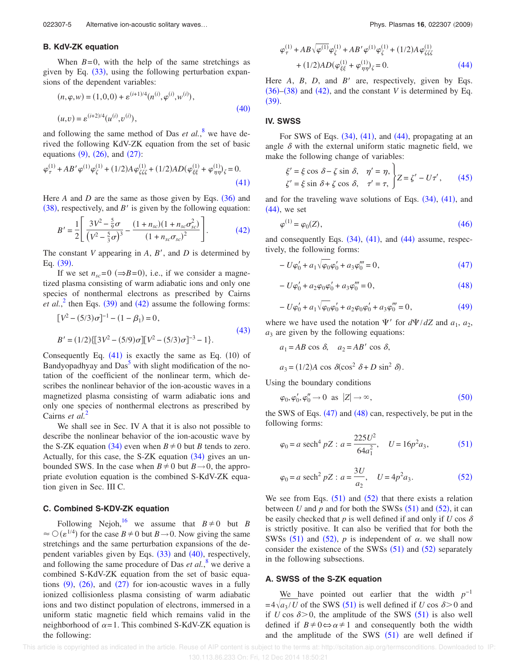## **B. KdV-ZK equation**

When  $B=0$ , with the help of the same stretchings as given by Eq.  $(33)$ , using the following perturbation expansions of the dependent variables:

$$
(n, \varphi, w) = (1, 0, 0) + \varepsilon^{(i+1)/4} (n^{(i)}, \varphi^{(i)}, w^{(i)}),
$$
  

$$
(u, v) = \varepsilon^{(i+2)/4} (u^{(i)}, v^{(i)}),
$$
 (40)

and following the same method of Das *et al.*,<sup>8</sup> we have derived the following KdV-ZK equation from the set of basic equations  $(9)$ ,  $(26)$ , and  $(27)$ :

$$
\varphi_{\tau}^{(1)} + AB'\varphi^{(1)}\varphi_{\zeta}^{(1)} + (1/2)A\varphi_{\zeta\zeta\zeta}^{(1)} + (1/2)AD(\varphi_{\xi\xi}^{(1)} + \varphi_{\eta\eta}^{(1)})_{\zeta} = 0.
$$
\n(41)

Here  $A$  and  $D$  are the same as those given by Eqs.  $(36)$  and  $(38)$ , respectively, and *B'* is given by the following equation:

$$
B' = \frac{1}{2} \left[ \frac{3V^2 - \frac{5}{9}\sigma}{(V^2 - \frac{5}{3}\sigma)^3} - \frac{(1 + n_{sc})(1 + n_{sc}\sigma_{sc}^2)}{(1 + n_{sc}\sigma_{sc})^2} \right].
$$
 (42)

The constant *V* appearing in *A*, *B*, and *D* is determined by Eq. (39).

If we set  $n_{sc} = 0 \ (\Rightarrow B = 0)$ , i.e., if we consider a magnetized plasma consisting of warm adiabatic ions and only one species of nonthermal electrons as prescribed by Cairns *et al.*,<sup>2</sup> then Eqs. (39) and (42) assume the following forms:

$$
[V^{2} - (5/3)\sigma]^{-1} - (1 - \beta_{1}) = 0,
$$
  
\n
$$
B' = (1/2)\{[3V^{2} - (5/9)\sigma][V^{2} - (5/3)\sigma]^{-3} - 1\}.
$$
\n(43)

Consequently Eq.  $(41)$  is exactly the same as Eq.  $(10)$  of Bandyopadhyay and Das<sup>5</sup> with slight modification of the notation of the coefficient of the nonlinear term, which describes the nonlinear behavior of the ion-acoustic waves in a magnetized plasma consisting of warm adiabatic ions and only one species of nonthermal electrons as prescribed by Cairns *et al.*<sup>2</sup>

We shall see in Sec. IV A that it is also not possible to describe the nonlinear behavior of the ion-acoustic wave by the S-ZK equation (34) even when  $B \neq 0$  but *B* tends to zero. Actually, for this case, the S-ZK equation  $(34)$  gives an unbounded SWS. In the case when  $B\neq 0$  but  $B\rightarrow 0$ , the appropriate evolution equation is the combined S-KdV-ZK equation given in Sec. III C.

## **C. Combined S-KDV-ZK equation**

Following Nejoh,<sup>16</sup> we assume that  $B \neq 0$  but *B*  $\approx$   $\circlearrowleft$  ( $\varepsilon^{1/4}$ ) for the case *B*  $\neq$  0 but *B*  $\rightarrow$  0. Now giving the same stretchings and the same perturbation expansions of the dependent variables given by Eqs.  $(33)$  and  $(40)$ , respectively, and following the same procedure of Das *et al.*,<sup>8</sup> we derive a combined S-KdV-ZK equation from the set of basic equations  $(9)$ ,  $(26)$ , and  $(27)$  for ion-acoustic waves in a fully ionized collisionless plasma consisting of warm adiabatic ions and two distinct population of electrons, immersed in a uniform static magnetic field which remains valid in the neighborhood of  $\alpha = 1$ . This combined S-KdV-ZK equation is the following:

$$
\varphi_{\tau}^{(1)} + AB\sqrt{\varphi^{(1)}}\varphi_{\zeta}^{(1)} + AB'\varphi^{(1)}\varphi_{\zeta}^{(1)} + (1/2)A\varphi_{\zeta\zeta\zeta}^{(1)} + (1/2)AD(\varphi_{\zeta\zeta}^{(1)} + \varphi_{\eta\eta}^{(1)})_{\zeta} = 0.
$$
 (44)

Here  $A$ ,  $B$ ,  $D$ , and  $B'$  are, respectively, given by Eqs.  $(36)$ – $(38)$  and  $(42)$ , and the constant *V* is determined by Eq.  $(39).$ 

## **IV. SWSS**

For SWS of Eqs.  $(34)$ ,  $(41)$ , and  $(44)$ , propagating at an angle  $\delta$  with the external uniform static magnetic field, we make the following change of variables:

$$
\xi' = \xi \cos \delta - \zeta \sin \delta, \quad \eta' = \eta, \n\zeta' = \xi \sin \delta + \zeta \cos \delta, \quad \tau' = \tau, \quad Z = \zeta' - U\tau', \tag{45}
$$

and for the traveling wave solutions of Eqs.  $(34)$ ,  $(41)$ , and  $(44)$ , we set

$$
\varphi^{(1)} = \varphi_0(Z),\tag{46}
$$

and consequently Eqs.  $(34)$ ,  $(41)$ , and  $(44)$  assume, respectively, the following forms:

$$
- U\varphi'_0 + a_1 \sqrt{\varphi_0} \varphi'_0 + a_3 \varphi'''_0 = 0, \qquad (47)
$$

$$
- U\varphi'_0 + a_2 \varphi_0 \varphi'_0 + a_3 \varphi'''_0 = 0, \qquad (48)
$$

$$
-U\varphi'_0 + a_1\sqrt{\varphi_0}\varphi'_0 + a_2\varphi_0\varphi'_0 + a_3\varphi''_0 = 0,
$$
\n(49)

where we have used the notation  $\Psi'$  for  $d\Psi/dZ$  and  $a_1, a_2$ ,  $a_3$  are given by the following equations:

$$
a_1 = AB \cos \delta
$$
,  $a_2 = AB' \cos \delta$ ,  
 $a_3 = (1/2)A \cos \delta(\cos^2 \delta + D \sin^2 \delta)$ .

Using the boundary conditions

$$
\varphi_0, \varphi_0', \varphi_0'' \to 0 \text{ as } |Z| \to \infty,
$$
\n(50)

the SWS of Eqs.  $(47)$  and  $(48)$  can, respectively, be put in the following forms:

$$
\varphi_0 = a \operatorname{sech}^4 pZ : a = \frac{225U^2}{64a_1^2}, \quad U = 16p^2a_3,
$$
\n(51)

$$
\varphi_0 = a \text{ sech}^2 pZ : a = \frac{3U}{a_2}, \quad U = 4p^2 a_3.
$$
\n(52)

We see from Eqs.  $(51)$  and  $(52)$  that there exists a relation between U and  $p$  and for both the SWSs  $(51)$  and  $(52)$ , it can be easily checked that  $p$  is well defined if and only if  $U \cos \delta$ is strictly positive. It can also be verified that for both the SWSs  $(51)$  and  $(52)$ , *p* is independent of  $\alpha$ , we shall now consider the existence of the SWSs  $(51)$  and  $(52)$  separately in the following subsections.

## **A. SWSS of the S-ZK equation**

We have pointed out earlier that the width  $p^{-1}$  $=4\sqrt{a_3/U}$  of the SWS (51) is well defined if *U* cos  $\delta > 0$  and if *U* cos  $\delta$  > 0, the amplitude of the SWS  $(51)$  is also well defined if  $B \neq 0 \Leftrightarrow \alpha \neq 1$  and consequently both the width and the amplitude of the SWS  $(51)$  are well defined if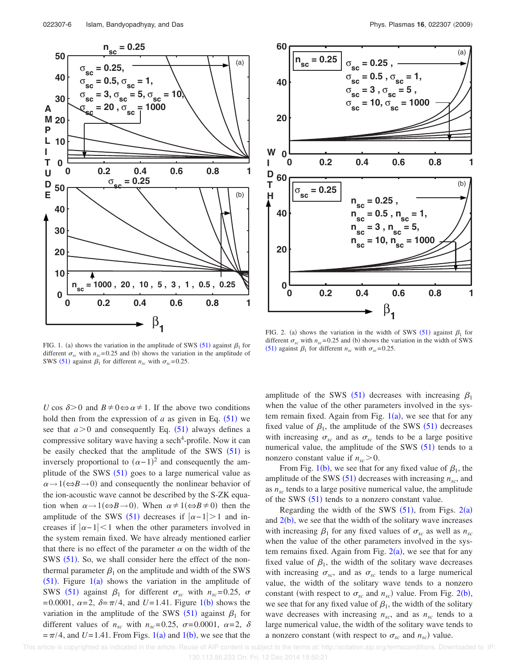



*U* cos  $\delta$ >0 and *B*  $\neq$  0⇔  $\alpha$   $\neq$  1. If the above two conditions hold then from the expression of  $a$  as given in Eq.  $(51)$  we see that  $a > 0$  and consequently Eq.  $(51)$  always defines a compressive solitary wave having a sech<sup>4</sup>-profile. Now it can be easily checked that the amplitude of the SWS  $(51)$  is inversely proportional to  $(\alpha - 1)^2$  and consequently the amplitude of the SWS  $(51)$  goes to a large numerical value as  $\alpha \rightarrow 1 (\Leftrightarrow B \rightarrow 0)$  and consequently the nonlinear behavior of the ion-acoustic wave cannot be described by the S-ZK equation when  $\alpha \rightarrow 1 (\Leftrightarrow B \rightarrow 0)$ . When  $\alpha \neq 1 (\Leftrightarrow B \neq 0)$  then the amplitude of the SWS (51) decreases if  $|\alpha-1| > 1$  and increases if  $|\alpha-1|$  when the other parameters involved in the system remain fixed. We have already mentioned earlier that there is no effect of the parameter  $\alpha$  on the width of the SWS  $(51)$ . So, we shall consider here the effect of the nonthermal parameter  $\beta_1$  on the amplitude and width of the SWS  $(51)$ . Figure  $1(a)$  shows the variation in the amplitude of SWS (51) against  $\beta_1$  for different  $\sigma_{sc}$  with  $n_{sc} = 0.25$ ,  $\sigma$  $=0.0001, \ \alpha=2, \ \delta=\pi/4, \text{ and } U=1.41. \text{ Figure 1(b) shows the}$ variation in the amplitude of the SWS  $(51)$  against  $\beta_1$  for different values of  $n_{sc}$  with  $n_{sc} = 0.25$ ,  $\sigma = 0.0001$ ,  $\alpha = 2$ ,  $\delta$  $=\pi/4$ , and  $U=1.41$ . From Figs. 1(a) and 1(b), we see that the



FIG. 2. (a) shows the variation in the width of SWS (51) against  $\beta_1$  for different  $\sigma_{sc}$  with  $n_{sc}$  = 0.25 and (b) shows the variation in the width of SWS (51) against  $\beta_1$  for different  $n_{sc}$  with  $\sigma_{sc} = 0.25$ .

amplitude of the SWS (51) decreases with increasing  $\beta_1$ when the value of the other parameters involved in the system remain fixed. Again from Fig.  $1(a)$ , we see that for any fixed value of  $\beta_1$ , the amplitude of the SWS (51) decreases with increasing  $\sigma_{sc}$  and as  $\sigma_{sc}$  tends to be a large positive numerical value, the amplitude of the SWS  $(51)$  tends to a nonzero constant value if  $n_{sc} > 0$ .

From Fig. 1(b), we see that for any fixed value of  $\beta_1$ , the amplitude of the SWS  $(51)$  decreases with increasing  $n_{sc}$ , and as  $n_{sc}$  tends to a large positive numerical value, the amplitude of the SWS  $(51)$  tends to a nonzero constant value.

Regarding the width of the SWS  $(51)$ , from Figs.  $2(a)$ and  $2(b)$ , we see that the width of the solitary wave increases with increasing  $\beta_1$  for any fixed values of  $\sigma_{sc}$  as well as  $n_{sc}$ when the value of the other parameters involved in the system remains fixed. Again from Fig.  $2(a)$ , we see that for any fixed value of  $\beta_1$ , the width of the solitary wave decreases with increasing  $\sigma_{sc}$ , and as  $\sigma_{sc}$  tends to a large numerical value, the width of the solitary wave tends to a nonzero constant (with respect to  $\sigma_{sc}$  and  $n_{sc}$ ) value. From Fig. 2(b), we see that for any fixed value of  $\beta_1$ , the width of the solitary wave decreases with increasing  $n_{sc}$ , and as  $n_{sc}$  tends to a large numerical value, the width of the solitary wave tends to a nonzero constant (with respect to  $\sigma_{sc}$  and  $n_{sc}$ ) value.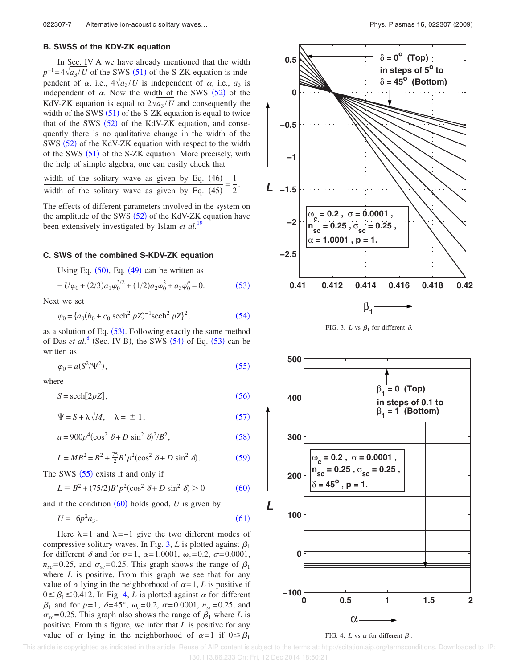## **B. SWSS of the KDV-ZK equation**

In Sec. IV A we have already mentioned that the width  $p^{-1} = 4\sqrt{a_3/U}$  of the SWS (51) of the S-ZK equation is independent of  $\alpha$ , i.e.,  $4\sqrt{a_3/U}$  is independent of  $\alpha$ , i.e.,  $a_3$  is independent of  $\alpha$ . Now the width of the SWS  $(52)$  of the KdV-ZK equation is equal to  $2\sqrt{a_3/U}$  and consequently the width of the SWS  $(51)$  of the S-ZK equation is equal to twice that of the SWS  $(52)$  of the KdV-ZK equation, and consequently there is no qualitative change in the width of the SWS  $(52)$  of the KdV-ZK equation with respect to the width of the SWS (51) of the S-ZK equation. More precisely, with the help of simple algebra, one can easily check that

width of the solitary wave as given by Eq. (46) = 
$$
\frac{1}{2}
$$
.  
width of the solitary wave as given by Eq. (45) =  $\frac{1}{2}$ .

The effects of different parameters involved in the system on the amplitude of the SWS  $(52)$  of the KdV-ZK equation have been extensively investigated by Islam *et al.*<sup>19</sup>

## **C. SWS of the combined S-KDV-ZK equation**

Using Eq.  $(50)$ , Eq.  $(49)$  can be written as

$$
-U\varphi_0 + (2/3)a_1\varphi_0^{3/2} + (1/2)a_2\varphi_0^2 + a_3\varphi_0'' = 0.
$$
 (53)

Next we set

$$
\varphi_0 = \{a_0(b_0 + c_0 \text{ sech}^2 pZ)^{-1} \text{sech}^2 pZ\}^2,\tag{54}
$$

as a solution of Eq.  $(53)$ . Following exactly the same method of Das *et al.*<sup>8</sup> (Sec. IV B), the SWS  $(54)$  of Eq.  $(53)$  can be written as

$$
\varphi_0 = a(S^2/\Psi^2),\tag{55}
$$

where

$$
S = \operatorname{sech}[2pZ],\tag{56}
$$

$$
\Psi = S + \lambda \sqrt{M}, \quad \lambda = \pm 1, \tag{57}
$$

$$
a = 900p^4(\cos^2 \delta + D \sin^2 \delta)^2/B^2,
$$
 (58)

$$
L = MB^2 = B^2 + \frac{75}{2}B'p^2(\cos^2 \delta + D\sin^2 \delta). \tag{59}
$$

The SWS  $(55)$  exists if and only if

$$
L = B2 + (75/2)B'p2(\cos2 \delta + D \sin2 \delta) > 0
$$
 (60)

and if the condition  $(60)$  holds good,  $U$  is given by

$$
U = 16p^2 a_3. \tag{61}
$$

Here  $\lambda = 1$  and  $\lambda = -1$  give the two different modes of compressive solitary waves. In Fig. 3, *L* is plotted against  $\beta_1$ for different  $\delta$  and for  $p=1$ ,  $\alpha=1.0001$ ,  $\omega_c=0.2$ ,  $\sigma=0.0001$ ,  $n_{sc}$ =0.25, and  $\sigma_{sc}$ =0.25. This graph shows the range of  $\beta_1$ where *L* is positive. From this graph we see that for any value of  $\alpha$  lying in the neighborhood of  $\alpha = 1$ , *L* is positive if  $0 \leq \beta_1 \leq 0.412$ . In Fig. 4, *L* is plotted against  $\alpha$  for different  $\beta_1$  and for  $p=1$ ,  $\delta = 45^\circ$ ,  $\omega_c = 0.2$ ,  $\sigma = 0.0001$ ,  $n_{sc} = 0.25$ , and  $\sigma_{sc}$ =0.25. This graph also shows the range of  $\beta_1$  where *L* is positive. From this figure, we infer that *L* is positive for any value of  $\alpha$  lying in the neighborhood of  $\alpha=1$  if  $0 \leq \beta_1$ 







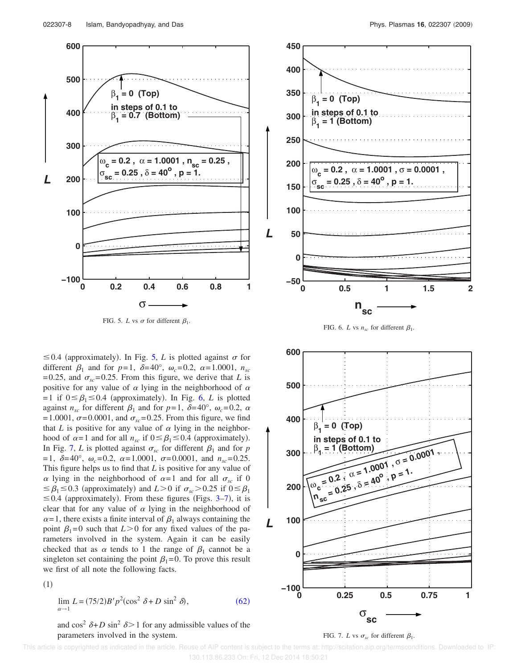

FIG. 5. *L* vs  $\sigma$  for different  $\beta_1$ .

 $\leq$  0.4 (approximately). In Fig. 5, *L* is plotted against  $\sigma$  for different  $\beta_1$  and for  $p=1$ ,  $\delta=40^\circ$ ,  $\omega_c=0.2$ ,  $\alpha=1.0001$ ,  $n_{sc}$  $=0.25$ , and  $\sigma_{sc} = 0.25$ . From this figure, we derive that *L* is positive for any value of  $\alpha$  lying in the neighborhood of  $\alpha$  $=1$  if  $0 \leq \beta_1 \leq 0.4$  (approximately). In Fig. 6, *L* is plotted against  $n_{sc}$  for different  $\beta_1$  and for  $p=1$ ,  $\delta=40^\circ$ ,  $\omega_c=0.2$ ,  $\alpha$  $=1.0001$ ,  $\sigma$ =0.0001, and  $\sigma_{sc}$ =0.25. From this figure, we find that *L* is positive for any value of  $\alpha$  lying in the neighborhood of  $\alpha = 1$  and for all  $n_{sc}$  if  $0 \leq \beta_1 \leq 0.4$  (approximately). In Fig. 7, *L* is plotted against  $\sigma_{sc}$  for different  $\beta_1$  and for *p*  $= 1, \ \delta = 40^{\circ}, \ \omega_c = 0.2, \ \alpha = 1.0001, \ \sigma = 0.0001, \text{ and } n_{sc} = 0.25.$ This figure helps us to find that *L* is positive for any value of  $\alpha$  lying in the neighborhood of  $\alpha = 1$  and for all  $\sigma_{sc}$  if 0  $\leq \beta_1 \leq 0.3$  (approximately) and *L*>0 if  $\sigma_{sc}$ >0.25 if 0 $\leq \beta_1$  $\leq$  0.4 (approximately). From these figures (Figs. 3–7), it is clear that for any value of  $\alpha$  lying in the neighborhood of  $\alpha$ =1, there exists a finite interval of  $\beta_1$  always containing the point  $\beta_1=0$  such that  $L>0$  for any fixed values of the parameters involved in the system. Again it can be easily checked that as  $\alpha$  tends to 1 the range of  $\beta_1$  cannot be a singleton set containing the point  $\beta_1=0$ . To prove this result we first of all note the following facts.



$$
\lim_{\alpha \to 1} L = (75/2)B'p^2(\cos^2 \delta + D \sin^2 \delta),
$$
\n(62)

and  $\cos^2 \delta + D \sin^2 \delta > 1$  for any admissible values of the parameters involved in the system.



FIG. 6. *L* vs  $n_{sc}$  for different  $\beta_1$ .



#### FIG. 7. *L* vs  $\sigma_{sc}$  for different  $\beta_1$ .

This article is copyrighted as indicated in the article. Reuse of AIP content is subject to the terms at: http://scitation.aip.org/termsconditions. Downloaded to IP: 130.113.86.233 On: Fri, 12 Dec 2014 18:50:21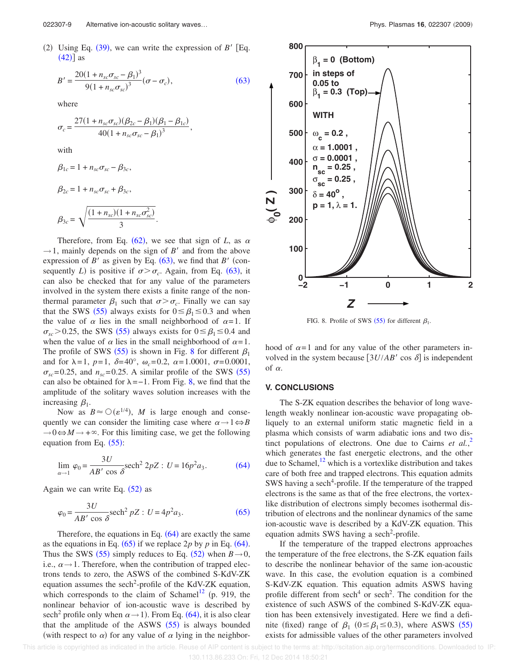(2) Using Eq.  $(39)$ , we can write the expression of *B'* [Eq.  $(42)$ ] as

$$
B' = \frac{20(1 + n_{sc}\sigma_{sc} - \beta_1)^3}{9(1 + n_{sc}\sigma_{sc})^3} (\sigma - \sigma_c),
$$
\n(63)

.

,

where

$$
\sigma_c = \frac{27(1 + n_{sc}\sigma_{sc})(\beta_{2c} - \beta_1)(\beta_1 - \beta_{1c})}{40(1 + n_{sc}\sigma_{sc} - \beta_1)^3}
$$

with

$$
\beta_{1c} = 1 + n_{sc}\sigma_{sc} - \beta_{3c},
$$
  
\n
$$
\beta_{2c} = 1 + n_{sc}\sigma_{sc} + \beta_{3c},
$$
  
\n
$$
\beta_{3c} = \sqrt{\frac{(1 + n_{sc})(1 + n_{sc}\sigma_{sc}^2)}{3}}
$$

Therefore, from Eq.  $(62)$ , we see that sign of *L*, as  $\alpha$  $\rightarrow$  1, mainly depends on the sign of *B'* and from the above expression of  $B'$  as given by Eq. (63), we find that  $B'$  (consequently *L*) is positive if  $\sigma > \sigma_c$ . Again, from Eq. (63), it can also be checked that for any value of the parameters involved in the system there exists a finite range of the nonthermal parameter  $\beta_1$  such that  $\sigma > \sigma_c$ . Finally we can say that the SWS (55) always exists for  $0 \le \beta_1 \le 0.3$  and when the value of  $\alpha$  lies in the small neighborhood of  $\alpha = 1$ . If  $\sigma_{sc}$  > 0.25, the SWS (55) always exists for  $0 \le \beta_1 \le 0.4$  and when the value of  $\alpha$  lies in the small neighborhood of  $\alpha = 1$ . The profile of SWS (55) is shown in Fig. 8 for different  $\beta_1$ and for  $\lambda = 1$ ,  $p=1$ ,  $\delta = 40^{\circ}$ ,  $\omega_c = 0.2$ ,  $\alpha = 1.0001$ ,  $\sigma = 0.0001$ ,  $\sigma_{sc}$ =0.25, and  $n_{sc}$ =0.25. A similar profile of the SWS (55) can also be obtained for  $\lambda = -1$ . From Fig. 8, we find that the amplitude of the solitary waves solution increases with the increasing  $\beta_1$ .

Now as  $B \approx O(\varepsilon^{1/4})$ , *M* is large enough and consequently we can consider the limiting case where  $\alpha \rightarrow 1 \Leftrightarrow B$  $\rightarrow 0 \Leftrightarrow M \rightarrow +\infty$ . For this limiting case, we get the following equation from Eq.  $(55)$ :

$$
\lim_{\alpha \to 1} \varphi_0 = \frac{3U}{AB' \cos \delta} \text{sech}^2 2pZ : U = 16p^2 a_3. \tag{64}
$$

Again we can write Eq.  $(52)$  as

$$
\varphi_0 = \frac{3U}{AB' \cos \delta} \text{sech}^2 pZ : U = 4p^2 a_3. \tag{65}
$$

Therefore, the equations in Eq.  $(64)$  are exactly the same as the equations in Eq.  $(65)$  if we replace 2*p* by *p* in Eq.  $(64)$ . Thus the SWS (55) simply reduces to Eq. (52) when  $B \rightarrow 0$ , i.e.,  $\alpha \rightarrow 1$ . Therefore, when the contribution of trapped electrons tends to zero, the ASWS of the combined S-KdV-ZK equation assumes the sech<sup>2</sup>-profile of the KdV-ZK equation, which corresponds to the claim of Schamel<sup>12</sup> (p. 919, the nonlinear behavior of ion-acoustic wave is described by sech<sup>2</sup> profile only when  $\alpha \rightarrow 1$ ). From Eq. (64), it is also clear that the amplitude of the ASWS  $(55)$  is always bounded (with respect to  $\alpha$ ) for any value of  $\alpha$  lying in the neighbor-



FIG. 8. Profile of SWS (55) for different  $\beta_1$ .

hood of  $\alpha=1$  and for any value of the other parameters involved in the system because  $[3U/AB' \cos \delta]$  is independent of  $\alpha$ .

## **V. CONCLUSIONS**

The S-ZK equation describes the behavior of long wavelength weakly nonlinear ion-acoustic wave propagating obliquely to an external uniform static magnetic field in a plasma which consists of warm adiabatic ions and two distinct populations of electrons. One due to Cairns *et al.*,<sup>2</sup> which generates the fast energetic electrons, and the other due to Schamel, $12$  which is a vortexlike distribution and takes care of both free and trapped electrons. This equation admits SWS having a sech<sup>4</sup>-profile. If the temperature of the trapped electrons is the same as that of the free electrons, the vortexlike distribution of electrons simply becomes isothermal distribution of electrons and the nonlinear dynamics of the same ion-acoustic wave is described by a KdV-ZK equation. This equation admits SWS having a sech<sup>2</sup>-profile.

If the temperature of the trapped electrons approaches the temperature of the free electrons, the S-ZK equation fails to describe the nonlinear behavior of the same ion-acoustic wave. In this case, the evolution equation is a combined S-KdV-ZK equation. This equation admits ASWS having profile different from sech<sup>4</sup> or sech<sup>2</sup>. The condition for the existence of such ASWS of the combined S-KdV-ZK equation has been extensively investigated. Here we find a definite (fixed) range of  $\beta_1$  ( $0 \le \beta_1 \le 0.3$ ), where ASWS (55) exists for admissible values of the other parameters involved